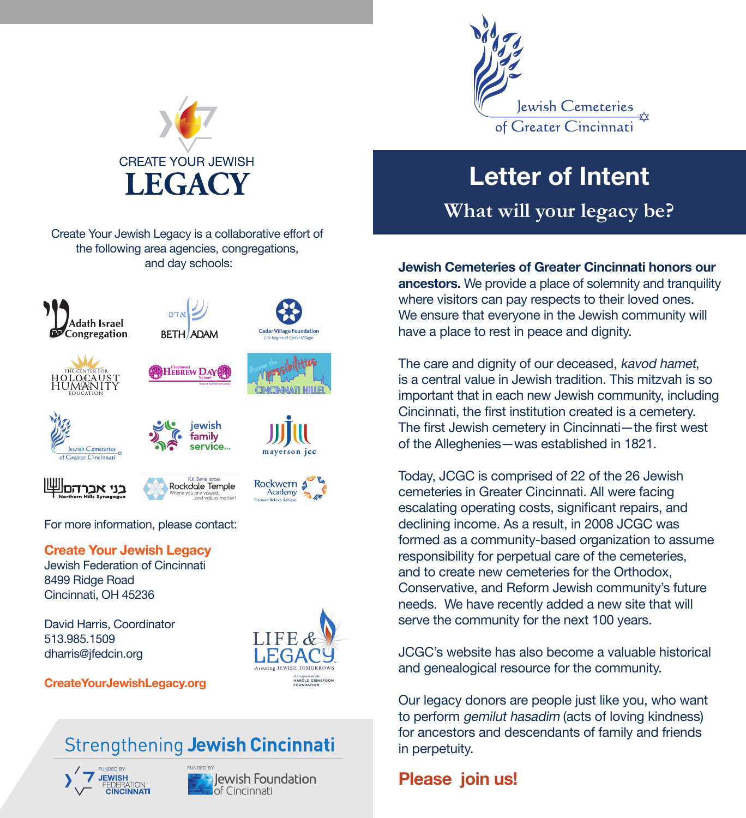

# Letter of Intent

**What will your legacy be?**

Jewish Cemeteries of Greater Cincinnati honors our ancestors. We provide a place of solemnity and tranquility where visitors can pay respects to their loved ones. We ensure that everyone in the Jewish community will have a place to rest in peace and dignity.

The care and dignity of our deceased, kavod hamet, is a central value in Jewish tradition. This mitzvah is so important that in each new Jewish community, including Cincinnati, the first institution created is a cemetery. The first Jewish cemetery in Cincinnati—the first west of the Alleghenies—was established in 1821.

Today, JCGC is comprised of 22 of the 26 Jewish cemeteries in Greater Cincinnati. All were facing escalating operating costs, significant repairs, and declining income. As a result, in 2008 JCGC was formed as a community-based organization to assume responsibility for perpetual care of the cemeteries, and to create new cemeteries for the Orthodox, Conservative, and Reform Jewish community's future needs. We have recently added a new site that will serve the community for the next 100 years.

JCGC's website has also become a valuable historical and genealogical resource for the community.

Our legacy donors are people just like you, who want to perform gemilut hasadim (acts of loving kindness) for ancestors and descendants of family and friends in perpetuity.

## Please join us!